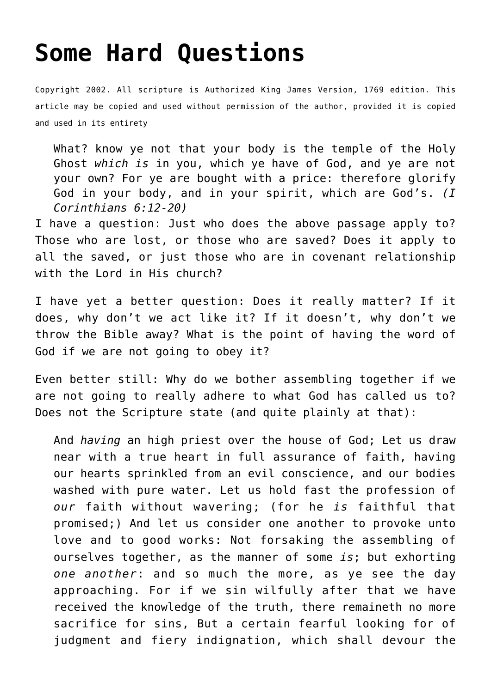## **[Some Hard Questions](http://reproachofmen.org/spiritualwar/some-hard-questions/)**

Copyright 2002. All scripture is Authorized King James Version, 1769 edition. This article may be copied and used without permission of the author, provided it is copied and used in its entirety

What? know ye not that your body is the temple of the Holy Ghost *which is* in you, which ye have of God, and ye are not your own? For ye are bought with a price: therefore glorify God in your body, and in your spirit, which are God's. *(I Corinthians 6:12-20)*

I have a question: Just who does the above passage apply to? Those who are lost, or those who are saved? Does it apply to all the saved, or just those who are in covenant relationship with the Lord in His church?

I have yet a better question: Does it really matter? If it does, why don't we act like it? If it doesn't, why don't we throw the Bible away? What is the point of having the word of God if we are not going to obey it?

Even better still: Why do we bother assembling together if we are not going to really adhere to what God has called us to? Does not the Scripture state (and quite plainly at that):

And *having* an high priest over the house of God; Let us draw near with a true heart in full assurance of faith, having our hearts sprinkled from an evil conscience, and our bodies washed with pure water. Let us hold fast the profession of *our* faith without wavering; (for he *is* faithful that promised;) And let us consider one another to provoke unto love and to good works: Not forsaking the assembling of ourselves together, as the manner of some *is*; but exhorting *one another*: and so much the more, as ye see the day approaching. For if we sin wilfully after that we have received the knowledge of the truth, there remaineth no more sacrifice for sins, But a certain fearful looking for of judgment and fiery indignation, which shall devour the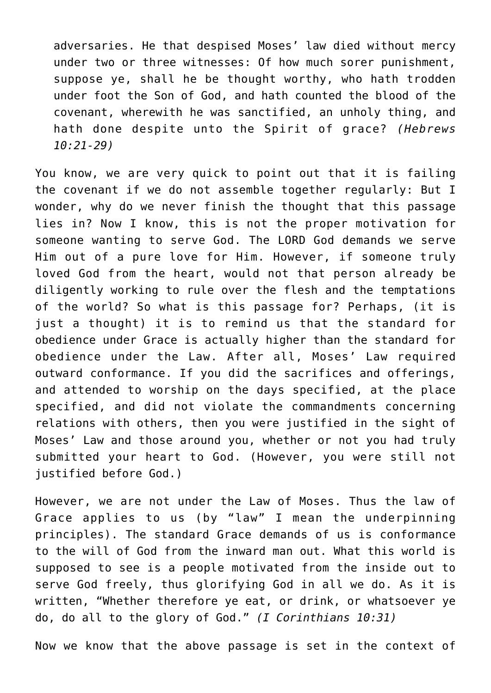adversaries. He that despised Moses' law died without mercy under two or three witnesses: Of how much sorer punishment, suppose ye, shall he be thought worthy, who hath trodden under foot the Son of God, and hath counted the blood of the covenant, wherewith he was sanctified, an unholy thing, and hath done despite unto the Spirit of grace? *(Hebrews 10:21-29)*

You know, we are very quick to point out that it is failing the covenant if we do not assemble together regularly: But I wonder, why do we never finish the thought that this passage lies in? Now I know, this is not the proper motivation for someone wanting to serve God. The LORD God demands we serve Him out of a pure love for Him. However, if someone truly loved God from the heart, would not that person already be diligently working to rule over the flesh and the temptations of the world? So what is this passage for? Perhaps, (it is just a thought) it is to remind us that the standard for obedience under Grace is actually higher than the standard for obedience under the Law. After all, Moses' Law required outward conformance. If you did the sacrifices and offerings, and attended to worship on the days specified, at the place specified, and did not violate the commandments concerning relations with others, then you were justified in the sight of Moses' Law and those around you, whether or not you had truly submitted your heart to God. (However, you were still not justified before God.)

However, we are not under the Law of Moses. Thus the law of Grace applies to us (by "law" I mean the underpinning principles). The standard Grace demands of us is conformance to the will of God from the inward man out. What this world is supposed to see is a people motivated from the inside out to serve God freely, thus glorifying God in all we do. As it is written, "Whether therefore ye eat, or drink, or whatsoever ye do, do all to the glory of God." *(I Corinthians 10:31)*

Now we know that the above passage is set in the context of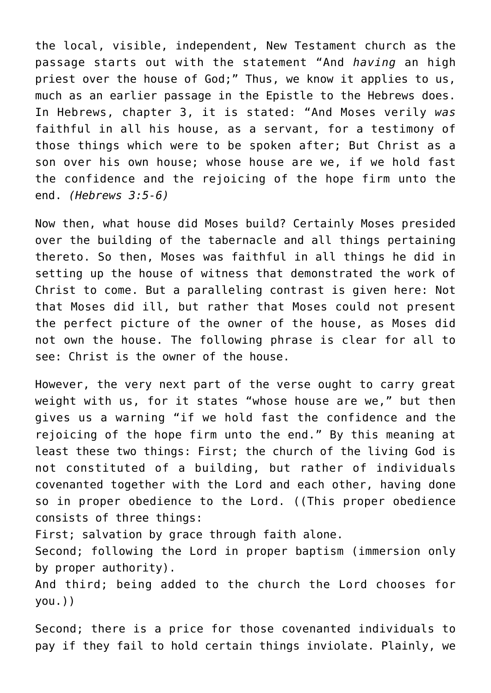the local, visible, independent, New Testament church as the passage starts out with the statement "And *having* an high priest over the house of God;" Thus, we know it applies to us, much as an earlier passage in the Epistle to the Hebrews does. In Hebrews, chapter 3, it is stated: "And Moses verily *was* faithful in all his house, as a servant, for a testimony of those things which were to be spoken after; But Christ as a son over his own house; whose house are we, if we hold fast the confidence and the rejoicing of the hope firm unto the end. *(Hebrews 3:5-6)*

Now then, what house did Moses build? Certainly Moses presided over the building of the tabernacle and all things pertaining thereto. So then, Moses was faithful in all things he did in setting up the house of witness that demonstrated the work of Christ to come. But a paralleling contrast is given here: Not that Moses did ill, but rather that Moses could not present the perfect picture of the owner of the house, as Moses did not own the house. The following phrase is clear for all to see: Christ is the owner of the house.

However, the very next part of the verse ought to carry great weight with us, for it states "whose house are we," but then gives us a warning "if we hold fast the confidence and the rejoicing of the hope firm unto the end." By this meaning at least these two things: First; the church of the living God is not constituted of a building, but rather of individuals covenanted together with the Lord and each other, having done so in proper obedience to the Lord. ((This proper obedience consists of three things:

First; salvation by grace through faith alone.

Second; following the Lord in proper baptism (immersion only by proper authority).

And third; being added to the church the Lord chooses for you.))

Second; there is a price for those covenanted individuals to pay if they fail to hold certain things inviolate. Plainly, we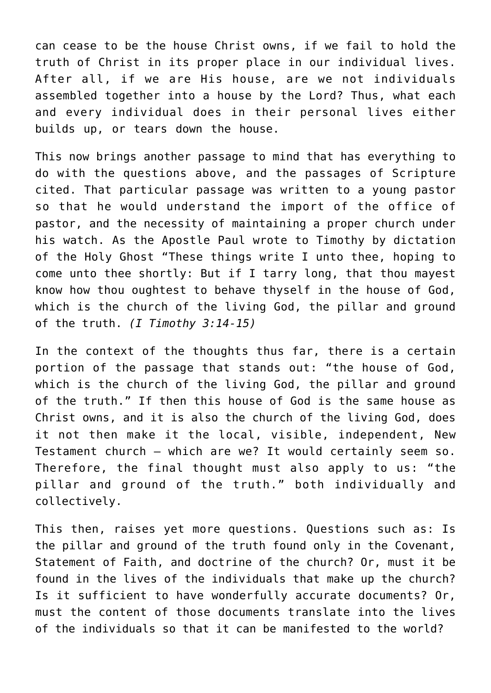can cease to be the house Christ owns, if we fail to hold the truth of Christ in its proper place in our individual lives. After all, if we are His house, are we not individuals assembled together into a house by the Lord? Thus, what each and every individual does in their personal lives either builds up, or tears down the house.

This now brings another passage to mind that has everything to do with the questions above, and the passages of Scripture cited. That particular passage was written to a young pastor so that he would understand the import of the office of pastor, and the necessity of maintaining a proper church under his watch. As the Apostle Paul wrote to Timothy by dictation of the Holy Ghost "These things write I unto thee, hoping to come unto thee shortly: But if I tarry long, that thou mayest know how thou oughtest to behave thyself in the house of God, which is the church of the living God, the pillar and ground of the truth. *(I Timothy 3:14-15)*

In the context of the thoughts thus far, there is a certain portion of the passage that stands out: "the house of God, which is the church of the living God, the pillar and ground of the truth." If then this house of God is the same house as Christ owns, and it is also the church of the living God, does it not then make it the local, visible, independent, New Testament church — which are we? It would certainly seem so. Therefore, the final thought must also apply to us: "the pillar and ground of the truth." both individually and collectively.

This then, raises yet more questions. Questions such as: Is the pillar and ground of the truth found only in the Covenant, Statement of Faith, and doctrine of the church? Or, must it be found in the lives of the individuals that make up the church? Is it sufficient to have wonderfully accurate documents? Or, must the content of those documents translate into the lives of the individuals so that it can be manifested to the world?